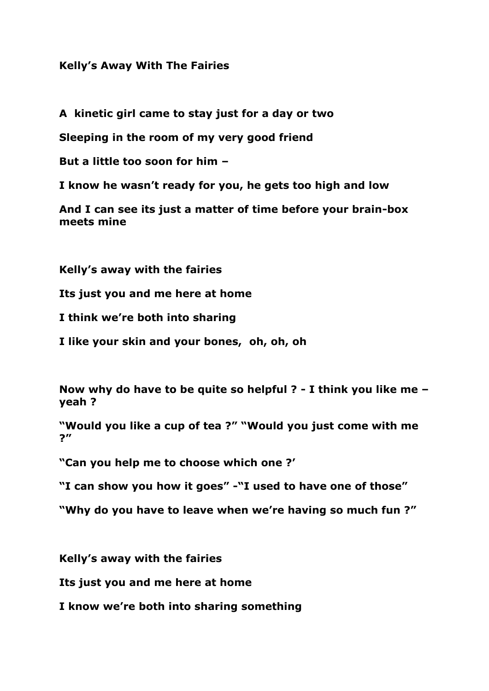## **Kelly's Away With The Fairies**

**A kinetic girl came to stay just for a day or two**

**Sleeping in the room of my very good friend**

**But a little too soon for him –**

**I know he wasn't ready for you, he gets too high and low**

**And I can see its just a matter of time before your brain-box meets mine**

**Kelly's away with the fairies**

**Its just you and me here at home**

**I think we're both into sharing**

**I like your skin and your bones, oh, oh, oh**

**Now why do have to be quite so helpful ? - I think you like me – yeah ?**

**"Would you like a cup of tea ?" "Would you just come with me ?"**

**"Can you help me to choose which one ?'**

**"I can show you how it goes" -"I used to have one of those"**

**"Why do you have to leave when we're having so much fun ?"**

**Kelly's away with the fairies**

**Its just you and me here at home**

**I know we're both into sharing something**